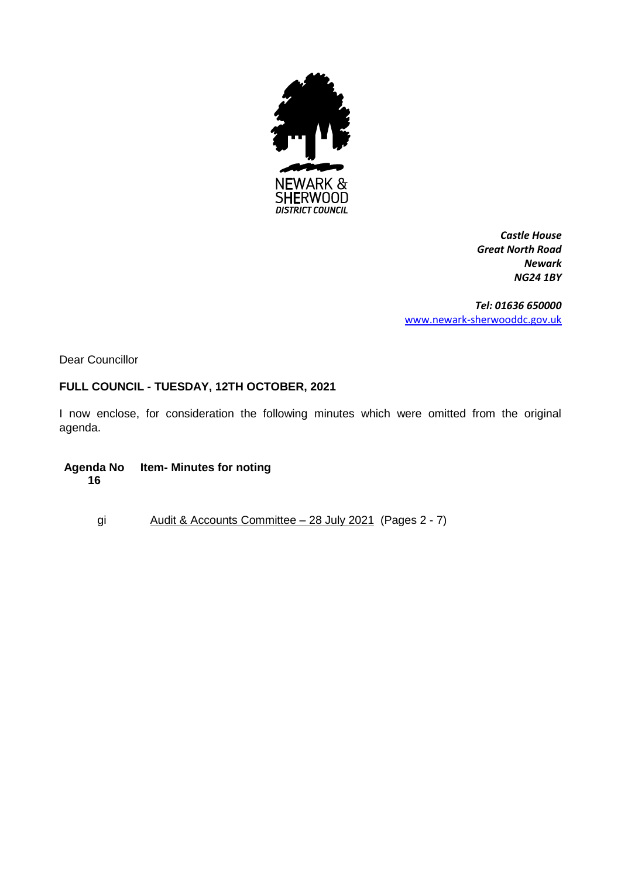

*Castle House Great North Road Newark NG24 1BY*

*Tel: 01636 650000* [www.newark-sherwooddc.gov.uk](http://www.newark-sherwooddc.gov.uk/)

Dear Councillor

# **FULL COUNCIL - TUESDAY, 12TH OCTOBER, 2021**

I now enclose, for consideration the following minutes which were omitted from the original agenda.

**Agenda No 16 Item- Minutes for noting** 

gi Audit & Accounts Committee – 28 July 2021 (Pages 2 - 7)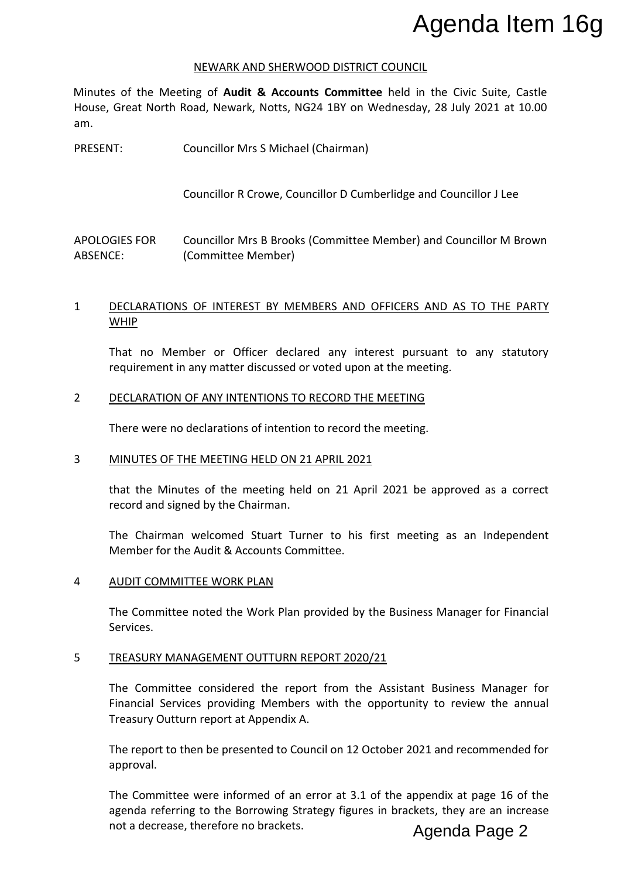#### NEWARK AND SHERWOOD DISTRICT COUNCIL

Minutes of the Meeting of **Audit & Accounts Committee** held in the Civic Suite, Castle House, Great North Road, Newark, Notts, NG24 1BY on Wednesday, 28 July 2021 at 10.00 am.

PRESENT: Councillor Mrs S Michael (Chairman)

Councillor R Crowe, Councillor D Cumberlidge and Councillor J Lee

APOLOGIES FOR ABSENCE: Councillor Mrs B Brooks (Committee Member) and Councillor M Brown (Committee Member)

# 1 DECLARATIONS OF INTEREST BY MEMBERS AND OFFICERS AND AS TO THE PARTY WHIP

That no Member or Officer declared any interest pursuant to any statutory requirement in any matter discussed or voted upon at the meeting.

## 2 DECLARATION OF ANY INTENTIONS TO RECORD THE MEETING

There were no declarations of intention to record the meeting.

## 3 MINUTES OF THE MEETING HELD ON 21 APRIL 2021

that the Minutes of the meeting held on 21 April 2021 be approved as a correct record and signed by the Chairman.

The Chairman welcomed Stuart Turner to his first meeting as an Independent Member for the Audit & Accounts Committee.

#### 4 AUDIT COMMITTEE WORK PLAN

The Committee noted the Work Plan provided by the Business Manager for Financial Services.

#### 5 TREASURY MANAGEMENT OUTTURN REPORT 2020/21

The Committee considered the report from the Assistant Business Manager for Financial Services providing Members with the opportunity to review the annual Treasury Outturn report at Appendix A.

The report to then be presented to Council on 12 October 2021 and recommended for approval.

The Committee were informed of an error at 3.1 of the appendix at page 16 of the agenda referring to the Borrowing Strategy figures in brackets, they are an increase **Agenda Item 16g**<br> **Agencia Therefore Adelt & Accounts Committee held in the Civic Suite, Castle**<br>
Great North Road, Newark, Notts, NC24 11F on Wednesday, 28 July 2021 at 10.00<br>
TT:<br>
Councillor Mrs & Michael (Chairman)<br>
Co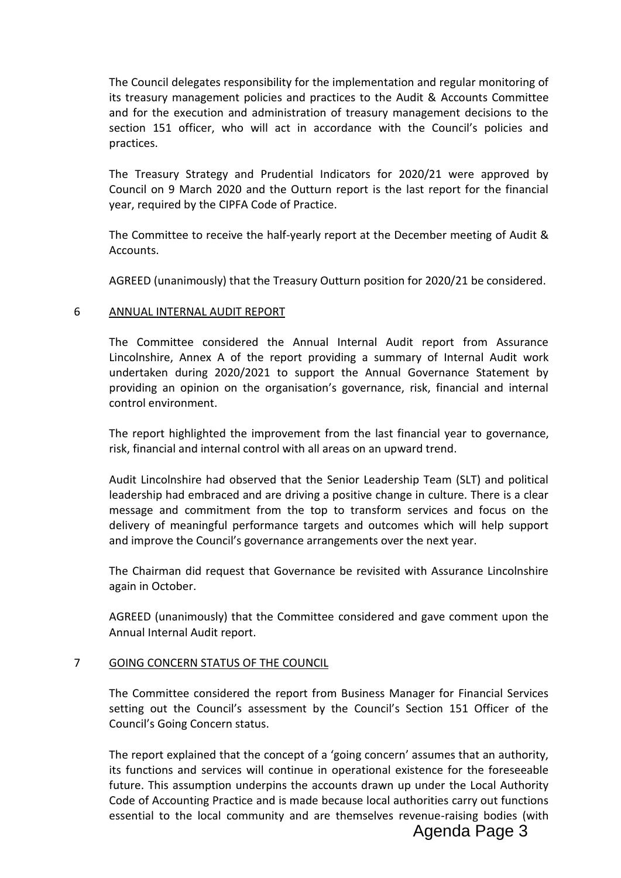The Council delegates responsibility for the implementation and regular monitoring of its treasury management policies and practices to the Audit & Accounts Committee and for the execution and administration of treasury management decisions to the section 151 officer, who will act in accordance with the Council's policies and practices.

The Treasury Strategy and Prudential Indicators for 2020/21 were approved by Council on 9 March 2020 and the Outturn report is the last report for the financial year, required by the CIPFA Code of Practice.

The Committee to receive the half-yearly report at the December meeting of Audit & Accounts.

AGREED (unanimously) that the Treasury Outturn position for 2020/21 be considered.

# 6 ANNUAL INTERNAL AUDIT REPORT

The Committee considered the Annual Internal Audit report from Assurance Lincolnshire, Annex A of the report providing a summary of Internal Audit work undertaken during 2020/2021 to support the Annual Governance Statement by providing an opinion on the organisation's governance, risk, financial and internal control environment.

The report highlighted the improvement from the last financial year to governance, risk, financial and internal control with all areas on an upward trend.

Audit Lincolnshire had observed that the Senior Leadership Team (SLT) and political leadership had embraced and are driving a positive change in culture. There is a clear message and commitment from the top to transform services and focus on the delivery of meaningful performance targets and outcomes which will help support and improve the Council's governance arrangements over the next year.

The Chairman did request that Governance be revisited with Assurance Lincolnshire again in October.

AGREED (unanimously) that the Committee considered and gave comment upon the Annual Internal Audit report.

## 7 GOING CONCERN STATUS OF THE COUNCIL

The Committee considered the report from Business Manager for Financial Services setting out the Council's assessment by the Council's Section 151 Officer of the Council's Going Concern status.

The report explained that the concept of a 'going concern' assumes that an authority, its functions and services will continue in operational existence for the foreseeable future. This assumption underpins the accounts drawn up under the Local Authority Code of Accounting Practice and is made because local authorities carry out functions essential to the local community and are themselves revenue-raising bodies (with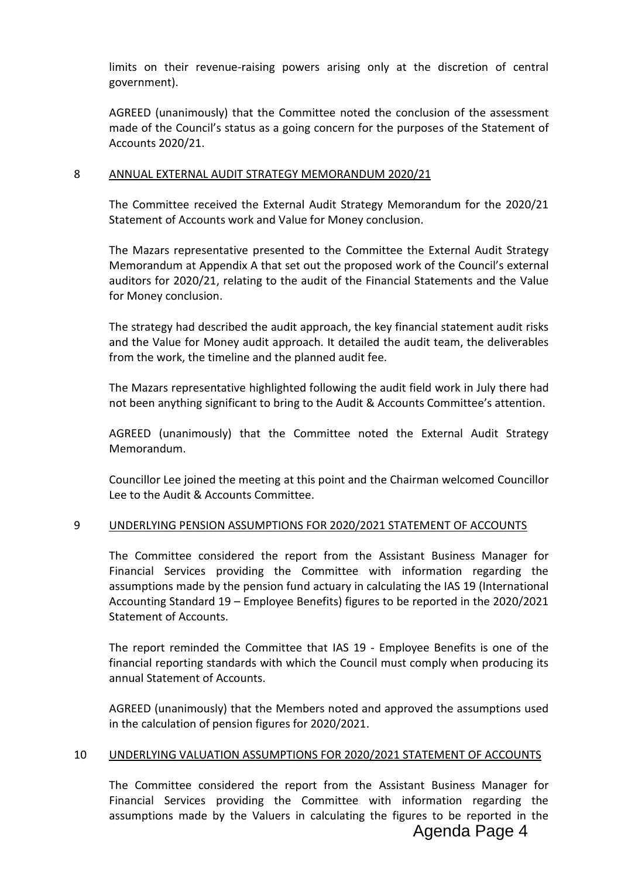limits on their revenue-raising powers arising only at the discretion of central government).

AGREED (unanimously) that the Committee noted the conclusion of the assessment made of the Council's status as a going concern for the purposes of the Statement of Accounts 2020/21.

## 8 ANNUAL EXTERNAL AUDIT STRATEGY MEMORANDUM 2020/21

The Committee received the External Audit Strategy Memorandum for the 2020/21 Statement of Accounts work and Value for Money conclusion.

The Mazars representative presented to the Committee the External Audit Strategy Memorandum at Appendix A that set out the proposed work of the Council's external auditors for 2020/21, relating to the audit of the Financial Statements and the Value for Money conclusion.

The strategy had described the audit approach, the key financial statement audit risks and the Value for Money audit approach. It detailed the audit team, the deliverables from the work, the timeline and the planned audit fee.

The Mazars representative highlighted following the audit field work in July there had not been anything significant to bring to the Audit & Accounts Committee's attention.

AGREED (unanimously) that the Committee noted the External Audit Strategy Memorandum.

Councillor Lee joined the meeting at this point and the Chairman welcomed Councillor Lee to the Audit & Accounts Committee.

## 9 UNDERLYING PENSION ASSUMPTIONS FOR 2020/2021 STATEMENT OF ACCOUNTS

The Committee considered the report from the Assistant Business Manager for Financial Services providing the Committee with information regarding the assumptions made by the pension fund actuary in calculating the IAS 19 (International Accounting Standard 19 – Employee Benefits) figures to be reported in the 2020/2021 Statement of Accounts.

The report reminded the Committee that IAS 19 - Employee Benefits is one of the financial reporting standards with which the Council must comply when producing its annual Statement of Accounts.

AGREED (unanimously) that the Members noted and approved the assumptions used in the calculation of pension figures for 2020/2021.

## 10 UNDERLYING VALUATION ASSUMPTIONS FOR 2020/2021 STATEMENT OF ACCOUNTS

The Committee considered the report from the Assistant Business Manager for Financial Services providing the Committee with information regarding the assumptions made by the Valuers in calculating the figures to be reported in the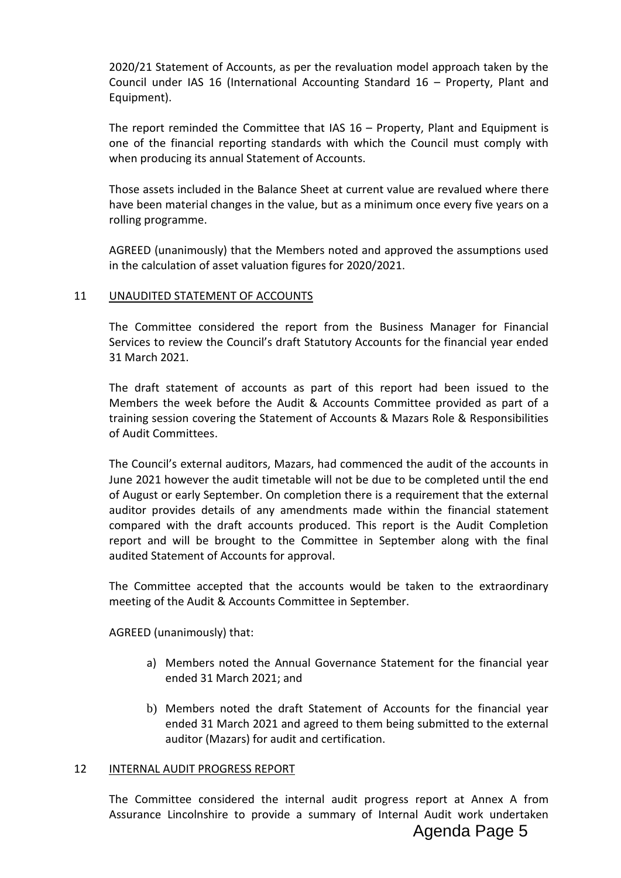2020/21 Statement of Accounts, as per the revaluation model approach taken by the Council under IAS 16 (International Accounting Standard 16 – Property, Plant and Equipment).

The report reminded the Committee that IAS 16 – Property, Plant and Equipment is one of the financial reporting standards with which the Council must comply with when producing its annual Statement of Accounts.

Those assets included in the Balance Sheet at current value are revalued where there have been material changes in the value, but as a minimum once every five years on a rolling programme.

AGREED (unanimously) that the Members noted and approved the assumptions used in the calculation of asset valuation figures for 2020/2021.

## 11 UNAUDITED STATEMENT OF ACCOUNTS

The Committee considered the report from the Business Manager for Financial Services to review the Council's draft Statutory Accounts for the financial year ended 31 March 2021.

The draft statement of accounts as part of this report had been issued to the Members the week before the Audit & Accounts Committee provided as part of a training session covering the Statement of Accounts & Mazars Role & Responsibilities of Audit Committees.

The Council's external auditors, Mazars, had commenced the audit of the accounts in June 2021 however the audit timetable will not be due to be completed until the end of August or early September. On completion there is a requirement that the external auditor provides details of any amendments made within the financial statement compared with the draft accounts produced. This report is the Audit Completion report and will be brought to the Committee in September along with the final audited Statement of Accounts for approval.

The Committee accepted that the accounts would be taken to the extraordinary meeting of the Audit & Accounts Committee in September.

AGREED (unanimously) that:

- a) Members noted the Annual Governance Statement for the financial year ended 31 March 2021; and
- b) Members noted the draft Statement of Accounts for the financial year ended 31 March 2021 and agreed to them being submitted to the external auditor (Mazars) for audit and certification.

#### 12 INTERNAL AUDIT PROGRESS REPORT

The Committee considered the internal audit progress report at Annex A from Assurance Lincolnshire to provide a summary of Internal Audit work undertaken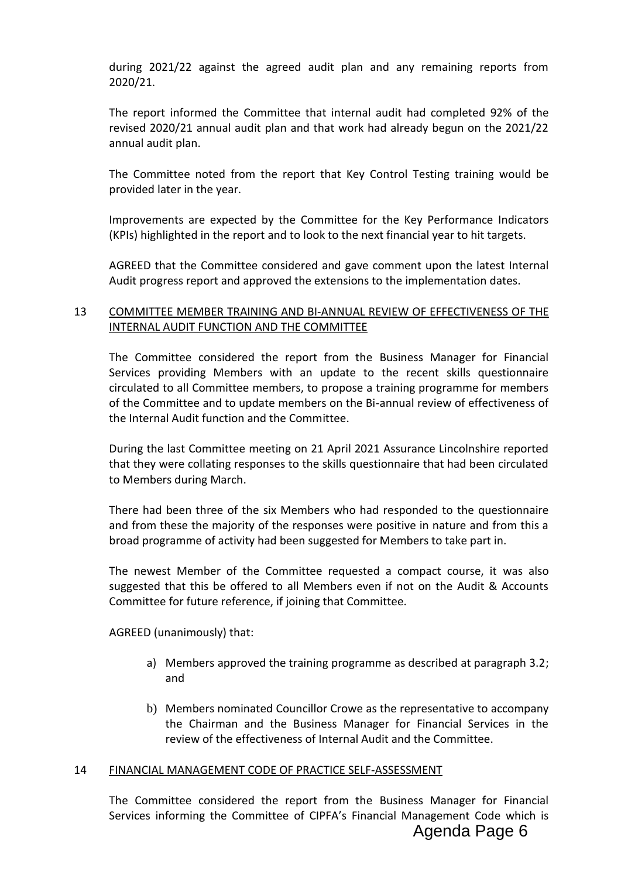during 2021/22 against the agreed audit plan and any remaining reports from 2020/21.

The report informed the Committee that internal audit had completed 92% of the revised 2020/21 annual audit plan and that work had already begun on the 2021/22 annual audit plan.

The Committee noted from the report that Key Control Testing training would be provided later in the year.

Improvements are expected by the Committee for the Key Performance Indicators (KPIs) highlighted in the report and to look to the next financial year to hit targets.

AGREED that the Committee considered and gave comment upon the latest Internal Audit progress report and approved the extensions to the implementation dates.

# 13 COMMITTEE MEMBER TRAINING AND BI-ANNUAL REVIEW OF EFFECTIVENESS OF THE INTERNAL AUDIT FUNCTION AND THE COMMITTEE

The Committee considered the report from the Business Manager for Financial Services providing Members with an update to the recent skills questionnaire circulated to all Committee members, to propose a training programme for members of the Committee and to update members on the Bi-annual review of effectiveness of the Internal Audit function and the Committee.

During the last Committee meeting on 21 April 2021 Assurance Lincolnshire reported that they were collating responses to the skills questionnaire that had been circulated to Members during March.

There had been three of the six Members who had responded to the questionnaire and from these the majority of the responses were positive in nature and from this a broad programme of activity had been suggested for Members to take part in.

The newest Member of the Committee requested a compact course, it was also suggested that this be offered to all Members even if not on the Audit & Accounts Committee for future reference, if joining that Committee.

AGREED (unanimously) that:

- a) Members approved the training programme as described at paragraph 3.2; and
- b) Members nominated Councillor Crowe as the representative to accompany the Chairman and the Business Manager for Financial Services in the review of the effectiveness of Internal Audit and the Committee.

## 14 FINANCIAL MANAGEMENT CODE OF PRACTICE SELF-ASSESSMENT

The Committee considered the report from the Business Manager for Financial Services informing the Committee of CIPFA's Financial Management Code which is Agenda Page 6